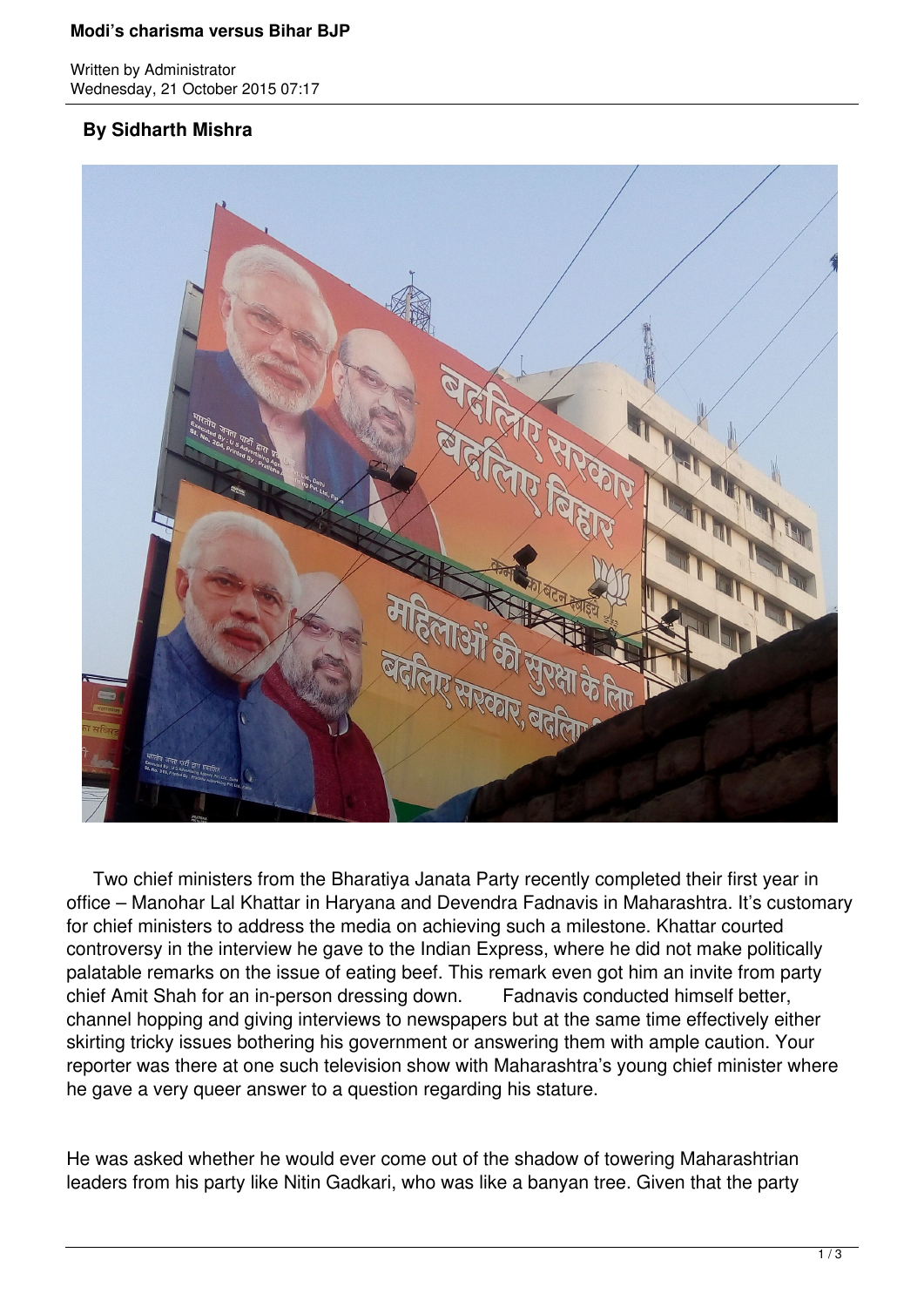## **Modi's charisma versus Bihar BJP**

Written by Administrator Wednesday, 21 October 2015 07:17

## **By Sidharth Mishra**



 Two chief ministers from the Bharatiya Janata Party recently completed their first year in office – Manohar Lal Khattar in Haryana and Devendra Fadnavis in Maharashtra. It's customary for chief ministers to address the media on achieving such a milestone. Khattar courted controversy in the interview he gave to the Indian Express, where he did not make politically palatable remarks on the issue of eating beef. This remark even got him an invite from party chief Amit Shah for an in-person dressing down. Fadnavis conducted himself better, channel hopping and giving interviews to newspapers but at the same time effectively either skirting tricky issues bothering his government or answering them with ample caution. Your reporter was there at one such television show with Maharashtra's young chief minister where he gave a very queer answer to a question regarding his stature.

He was asked whether he would ever come out of the shadow of towering Maharashtrian leaders from his party like Nitin Gadkari, who was like a banyan tree. Given that the party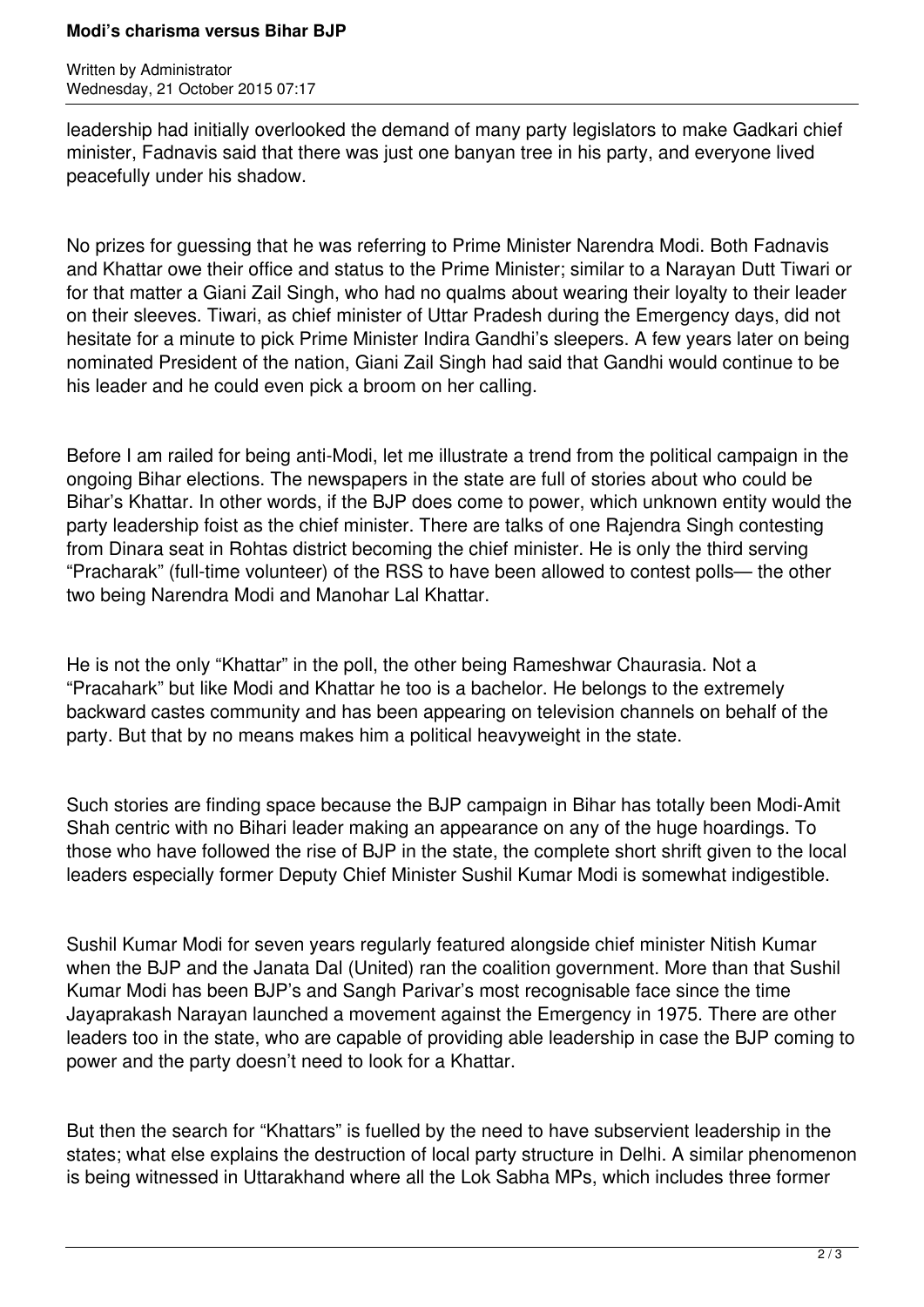## **Modi's charisma versus Bihar BJP**

Written by Administrator Wednesday, 21 October 2015 07:17

leadership had initially overlooked the demand of many party legislators to make Gadkari chief minister, Fadnavis said that there was just one banyan tree in his party, and everyone lived peacefully under his shadow.

No prizes for guessing that he was referring to Prime Minister Narendra Modi. Both Fadnavis and Khattar owe their office and status to the Prime Minister; similar to a Narayan Dutt Tiwari or for that matter a Giani Zail Singh, who had no qualms about wearing their loyalty to their leader on their sleeves. Tiwari, as chief minister of Uttar Pradesh during the Emergency days, did not hesitate for a minute to pick Prime Minister Indira Gandhi's sleepers. A few years later on being nominated President of the nation, Giani Zail Singh had said that Gandhi would continue to be his leader and he could even pick a broom on her calling.

Before I am railed for being anti-Modi, let me illustrate a trend from the political campaign in the ongoing Bihar elections. The newspapers in the state are full of stories about who could be Bihar's Khattar. In other words, if the BJP does come to power, which unknown entity would the party leadership foist as the chief minister. There are talks of one Rajendra Singh contesting from Dinara seat in Rohtas district becoming the chief minister. He is only the third serving "Pracharak" (full-time volunteer) of the RSS to have been allowed to contest polls— the other two being Narendra Modi and Manohar Lal Khattar.

He is not the only "Khattar" in the poll, the other being Rameshwar Chaurasia. Not a "Pracahark" but like Modi and Khattar he too is a bachelor. He belongs to the extremely backward castes community and has been appearing on television channels on behalf of the party. But that by no means makes him a political heavyweight in the state.

Such stories are finding space because the BJP campaign in Bihar has totally been Modi-Amit Shah centric with no Bihari leader making an appearance on any of the huge hoardings. To those who have followed the rise of BJP in the state, the complete short shrift given to the local leaders especially former Deputy Chief Minister Sushil Kumar Modi is somewhat indigestible.

Sushil Kumar Modi for seven years regularly featured alongside chief minister Nitish Kumar when the BJP and the Janata Dal (United) ran the coalition government. More than that Sushil Kumar Modi has been BJP's and Sangh Parivar's most recognisable face since the time Jayaprakash Narayan launched a movement against the Emergency in 1975. There are other leaders too in the state, who are capable of providing able leadership in case the BJP coming to power and the party doesn't need to look for a Khattar.

But then the search for "Khattars" is fuelled by the need to have subservient leadership in the states; what else explains the destruction of local party structure in Delhi. A similar phenomenon is being witnessed in Uttarakhand where all the Lok Sabha MPs, which includes three former